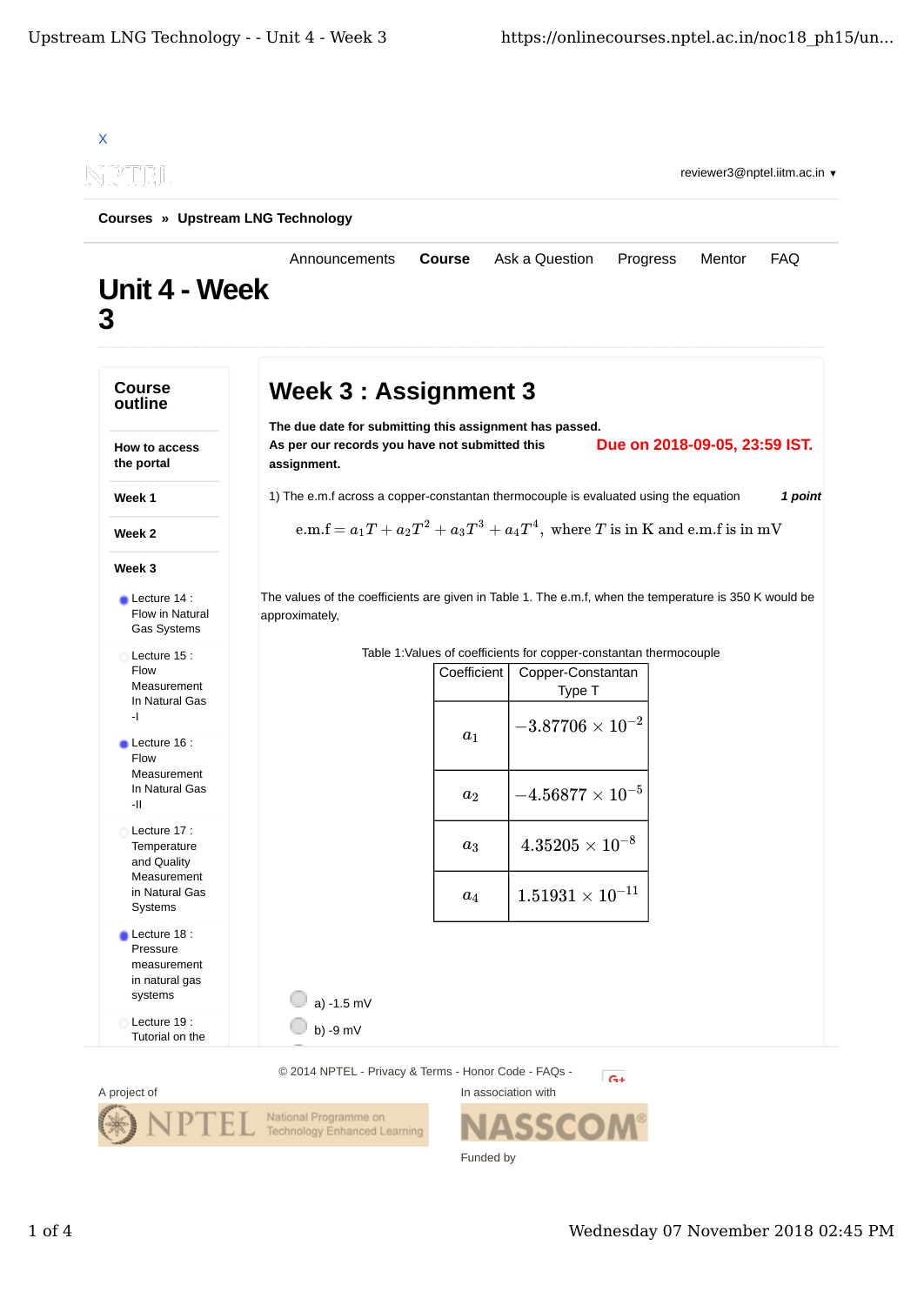

Funded by

 $1$  of  $4$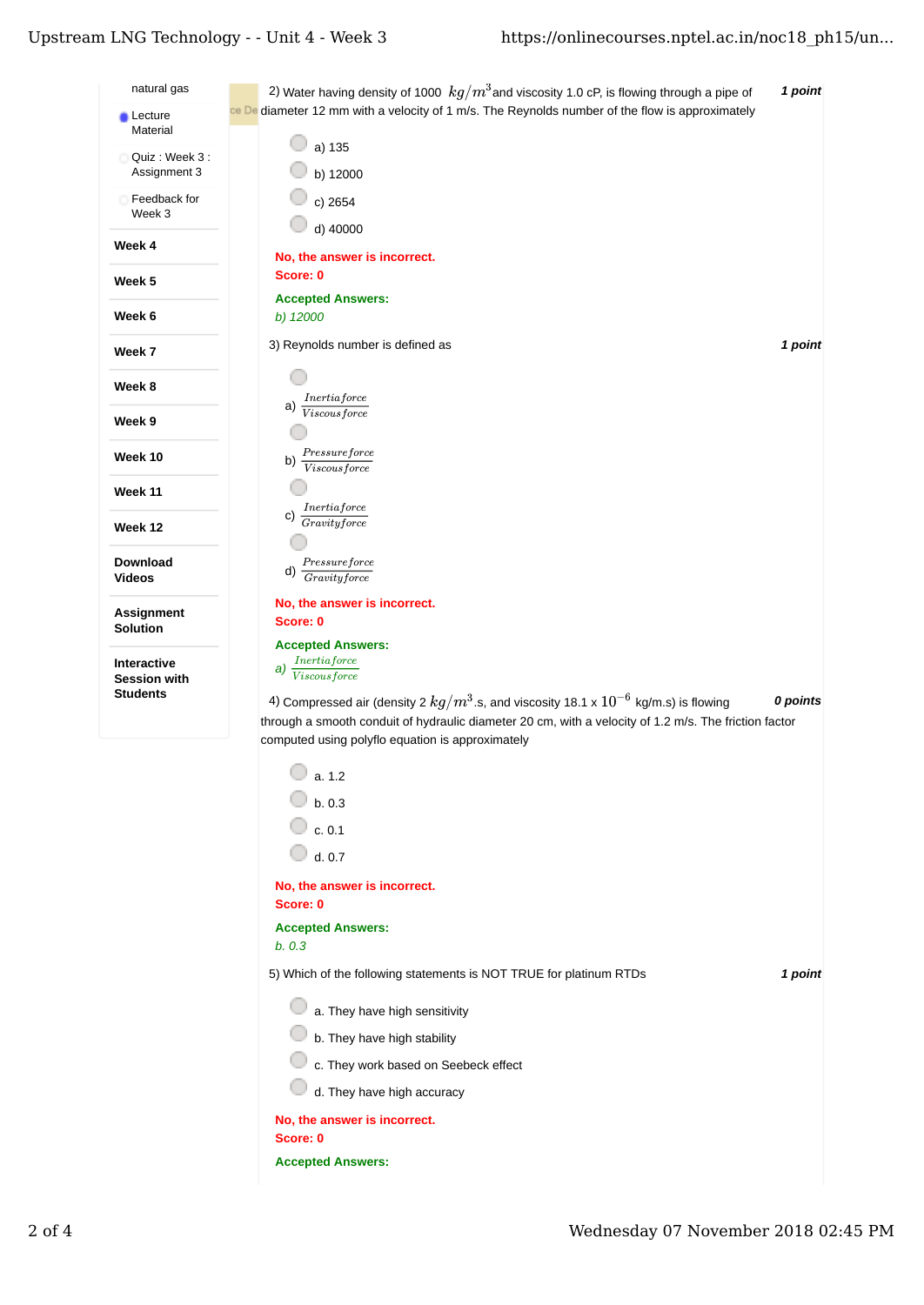## Upstream LNG Technology - - Unit 4 - Week 3

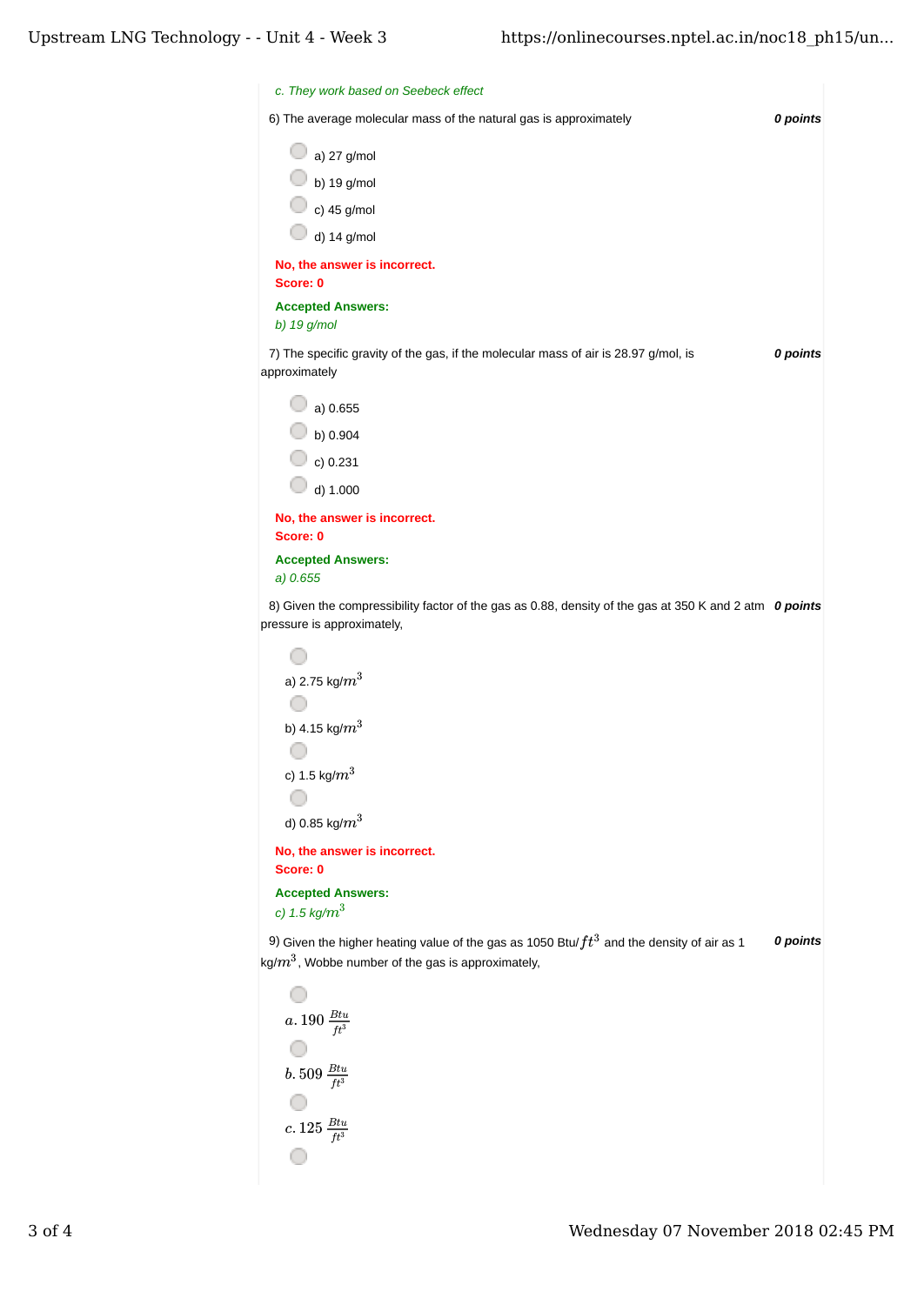| c. They work based on Seebeck effect                                                                                                                  |          |
|-------------------------------------------------------------------------------------------------------------------------------------------------------|----------|
| 6) The average molecular mass of the natural gas is approximately                                                                                     | 0 points |
| a) 27 g/mol                                                                                                                                           |          |
| b) 19 g/mol                                                                                                                                           |          |
| c) 45 g/mol                                                                                                                                           |          |
| d) $14$ g/mol                                                                                                                                         |          |
| No, the answer is incorrect.<br>Score: 0                                                                                                              |          |
| <b>Accepted Answers:</b><br>b) 19 g/mol                                                                                                               |          |
| 7) The specific gravity of the gas, if the molecular mass of air is 28.97 g/mol, is<br>approximately                                                  | 0 points |
| a) 0.655                                                                                                                                              |          |
| b) 0.904                                                                                                                                              |          |
| c) $0.231$                                                                                                                                            |          |
| d) 1.000                                                                                                                                              |          |
| No, the answer is incorrect.<br>Score: 0                                                                                                              |          |
| <b>Accepted Answers:</b><br>a) 0.655                                                                                                                  |          |
| 8) Given the compressibility factor of the gas as 0.88, density of the gas at 350 K and 2 atm 0 points                                                |          |
| pressure is approximately,                                                                                                                            |          |
| a) 2.75 kg/ $m^3$                                                                                                                                     |          |
|                                                                                                                                                       |          |
| b) 4.15 kg/ $m^3$                                                                                                                                     |          |
|                                                                                                                                                       |          |
| c) 1.5 kg/ $m^3$                                                                                                                                      |          |
|                                                                                                                                                       |          |
| d) 0.85 kg/ $m^3$                                                                                                                                     |          |
| No, the answer is incorrect.<br>Score: 0                                                                                                              |          |
| <b>Accepted Answers:</b>                                                                                                                              |          |
| c) 1.5 kg/ $m^3$                                                                                                                                      |          |
| 9) Given the higher heating value of the gas as 1050 Btu/ $ft^3$ and the density of air as 1<br>kg/ $m^3$ , Wobbe number of the gas is approximately, | 0 points |
|                                                                                                                                                       |          |
| $a.190 \frac{Btu}{ft^3}$                                                                                                                              |          |
|                                                                                                                                                       |          |
| $b.509 \frac{Btu}{ft^3}$                                                                                                                              |          |
|                                                                                                                                                       |          |
| $c. 125 \frac{Btu}{ft^3}$                                                                                                                             |          |
|                                                                                                                                                       |          |

O